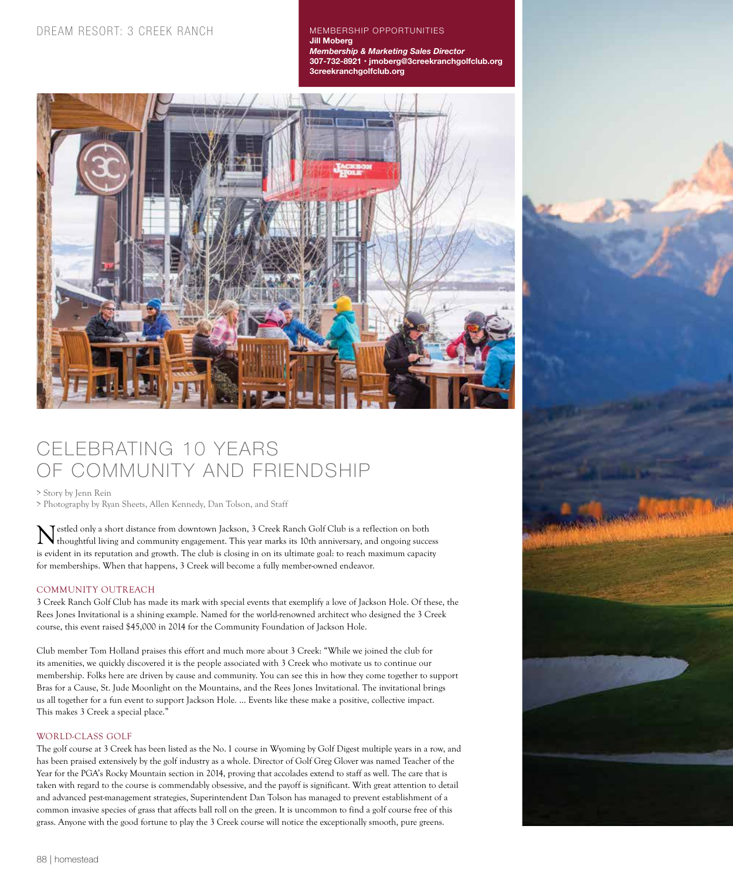MEMBERSHIP OPPORTUNITIES **Jill Moberg** *Membership & Marketing Sales Director*  **307-732-8921 • jmoberg@3creekranchgolfclub.org 3creekranchgolfclub.org**



# CELEBRATING 10 YEARS OF COMMUNITY AND FRIENDSHIP

> Story by Jenn Rein

> Photography by Ryan Sheets, Allen Kennedy, Dan Tolson, and Staff

Nestled only a short distance from downtown Jackson, 3 Creek Ranch Golf Club is a reflection on both thoughtful living and community engagement. This year marks its 10th anniversary, and ongoing success is evident in its reputation and growth. The club is closing in on its ultimate goal: to reach maximum capacity for memberships. When that happens, 3 Creek will become a fully member-owned endeavor.

## COMMUNITY OUTREACH

3 Creek Ranch Golf Club has made its mark with special events that exemplify a love of Jackson Hole. Of these, the Rees Jones Invitational is a shining example. Named for the world-renowned architect who designed the 3 Creek course, this event raised \$45,000 in 2014 for the Community Foundation of Jackson Hole.

Club member Tom Holland praises this effort and much more about 3 Creek: "While we joined the club for its amenities, we quickly discovered it is the people associated with 3 Creek who motivate us to continue our membership. Folks here are driven by cause and community. You can see this in how they come together to support Bras for a Cause, St. Jude Moonlight on the Mountains, and the Rees Jones Invitational. The invitational brings us all together for a fun event to support Jackson Hole. … Events like these make a positive, collective impact. This makes 3 Creek a special place."

## WORLD-CLASS GOLF

The golf course at 3 Creek has been listed as the No. 1 course in Wyoming by Golf Digest multiple years in a row, and has been praised extensively by the golf industry as a whole. Director of Golf Greg Glover was named Teacher of the Year for the PGA's Rocky Mountain section in 2014, proving that accolades extend to staff as well. The care that is taken with regard to the course is commendably obsessive, and the payoff is significant. With great attention to detail and advanced pest-management strategies, Superintendent Dan Tolson has managed to prevent establishment of a common invasive species of grass that affects ball roll on the green. It is uncommon to find a golf course free of this grass. Anyone with the good fortune to play the 3 Creek course will notice the exceptionally smooth, pure greens.

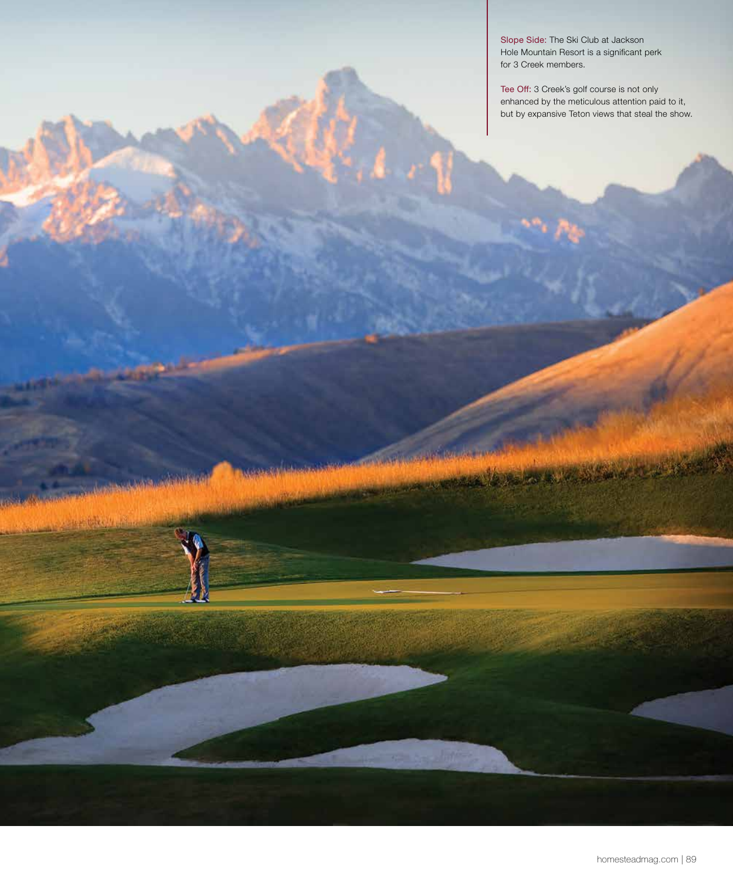Slope Side: The Ski Club at Jackson Hole Mountain Resort is a significant perk for 3 Creek members.

MARK AND DESCRIPTION OF THE REAL PROPERTY.

**Dealer of the America** 

**Contract** 

Tee Off: 3 Creek's golf course is not only enhanced by the meticulous attention paid to it, but by expansive Teton views that steal the show.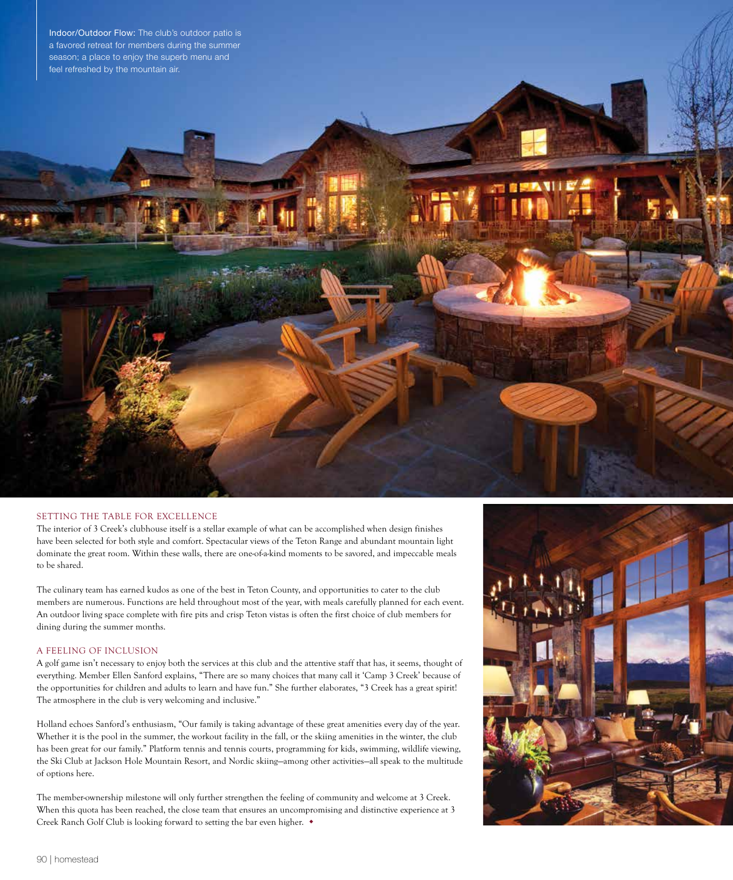

#### SETTING THE TABLE FOR EXCELLENCE

The interior of 3 Creek's clubhouse itself is a stellar example of what can be accomplished when design finishes have been selected for both style and comfort. Spectacular views of the Teton Range and abundant mountain light dominate the great room. Within these walls, there are one-of-a-kind moments to be savored, and impeccable meals to be shared.

The culinary team has earned kudos as one of the best in Teton County, and opportunities to cater to the club members are numerous. Functions are held throughout most of the year, with meals carefully planned for each event. An outdoor living space complete with fire pits and crisp Teton vistas is often the first choice of club members for dining during the summer months.

#### A FEELING OF INCLUSION

A golf game isn't necessary to enjoy both the services at this club and the attentive staff that has, it seems, thought of everything. Member Ellen Sanford explains, "There are so many choices that many call it 'Camp 3 Creek' because of the opportunities for children and adults to learn and have fun." She further elaborates, "3 Creek has a great spirit! The atmosphere in the club is very welcoming and inclusive."

Holland echoes Sanford's enthusiasm, "Our family is taking advantage of these great amenities every day of the year. Whether it is the pool in the summer, the workout facility in the fall, or the skiing amenities in the winter, the club has been great for our family." Platform tennis and tennis courts, programming for kids, swimming, wildlife viewing, the Ski Club at Jackson Hole Mountain Resort, and Nordic skiing—among other activities—all speak to the multitude of options here.

The member-ownership milestone will only further strengthen the feeling of community and welcome at 3 Creek. When this quota has been reached, the close team that ensures an uncompromising and distinctive experience at 3 Creek Ranch Golf Club is looking forward to setting the bar even higher.  $\bullet$